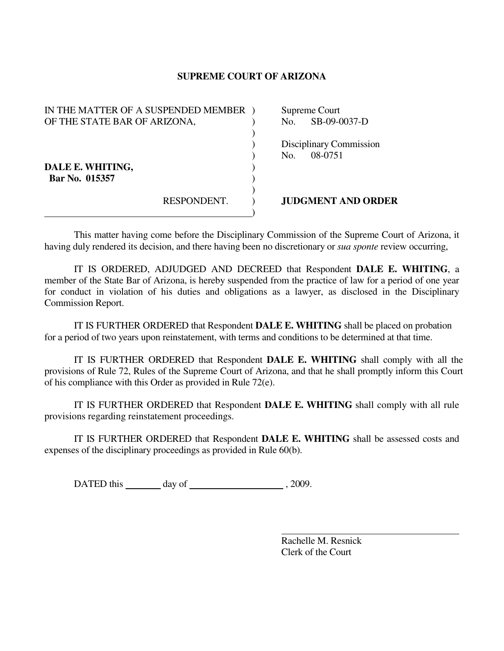## **SUPREME COURT OF ARIZONA**

| IN THE MATTER OF A SUSPENDED MEMBER |             |     | Supreme Court             |
|-------------------------------------|-------------|-----|---------------------------|
| OF THE STATE BAR OF ARIZONA,        |             | No. | SB-09-0037-D              |
|                                     |             |     |                           |
|                                     |             |     | Disciplinary Commission   |
|                                     |             | No. | 08-0751                   |
| DALE E. WHITING,                    |             |     |                           |
| Bar No. 015357                      |             |     |                           |
|                                     |             |     |                           |
|                                     | RESPONDENT. |     | <b>JUDGMENT AND ORDER</b> |
|                                     |             |     |                           |

 This matter having come before the Disciplinary Commission of the Supreme Court of Arizona, it having duly rendered its decision, and there having been no discretionary or *sua sponte* review occurring,

 IT IS ORDERED, ADJUDGED AND DECREED that Respondent **DALE E. WHITING**, a member of the State Bar of Arizona, is hereby suspended from the practice of law for a period of one year for conduct in violation of his duties and obligations as a lawyer, as disclosed in the Disciplinary Commission Report.

IT IS FURTHER ORDERED that Respondent **DALE E. WHITING** shall be placed on probation for a period of two years upon reinstatement, with terms and conditions to be determined at that time.

 IT IS FURTHER ORDERED that Respondent **DALE E. WHITING** shall comply with all the provisions of Rule 72, Rules of the Supreme Court of Arizona, and that he shall promptly inform this Court of his compliance with this Order as provided in Rule 72(e).

 IT IS FURTHER ORDERED that Respondent **DALE E. WHITING** shall comply with all rule provisions regarding reinstatement proceedings.

 IT IS FURTHER ORDERED that Respondent **DALE E. WHITING** shall be assessed costs and expenses of the disciplinary proceedings as provided in Rule 60(b).

DATED this day of  $\frac{1}{2009}$ .

 Rachelle M. Resnick Clerk of the Court